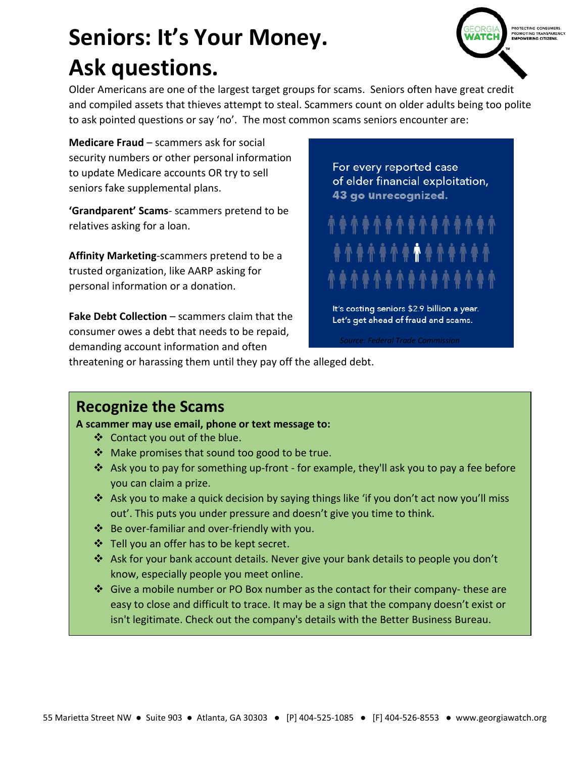# **Seniors: It's Your Money. Ask questions.**

PROTECTING CONSUMERS.<br>PROMOTING TRANSPAREN(<br>**EMPOWERING CITIZENS.** 

Older Americans are one of the largest target groups for scams. Seniors often have great credit and compiled assets that thieves attempt to steal. Scammers count on older adults being too polite to ask pointed questions or say 'no'. The most common scams seniors encounter are:

**Medicare Fraud** – scammers ask for social security numbers or other personal information to update Medicare accounts OR try to sell seniors fake supplemental plans.

**'Grandparent' Scams**- scammers pretend to be relatives asking for a loan.

**Affinity Marketing**-scammers pretend to be a trusted organization, like AARP asking for personal information or a donation.

**Fake Debt Collection** – scammers claim that the consumer owes a debt that needs to be repaid, demanding account information and often

For every reported case of elder financial exploitation, 43 go unrecognized.

It's costing seniors \$2.9 billion a year.

Let's get ahead of fraud and scams.

*Source: Federal Trade Commission*

threatening or harassing them until they pay off the alleged debt.

#### **Recognize the Scams**

**A scammer may use email, phone or text message to:**

- Contact you out of the blue.
- Make promises that sound too good to be true.
- Ask you to pay for something up-front for example, they'll ask you to pay a fee before you can claim a prize.
- Ask you to make a quick decision by saying things like 'if you don't act now you'll miss out'. This puts you under pressure and doesn't give you time to think.
- $\triangleleft$  Be over-familiar and over-friendly with you.
- Tell you an offer has to be kept secret.
- Ask for your bank account details. Never give your bank details to people you don't know, especially people you meet online.
- $\cdot$  Give a mobile number or PO Box number as the contact for their company-these are easy to close and difficult to trace. It may be a sign that the company doesn't exist or isn't legitimate. Check out the company's details with the Better Business Bureau.